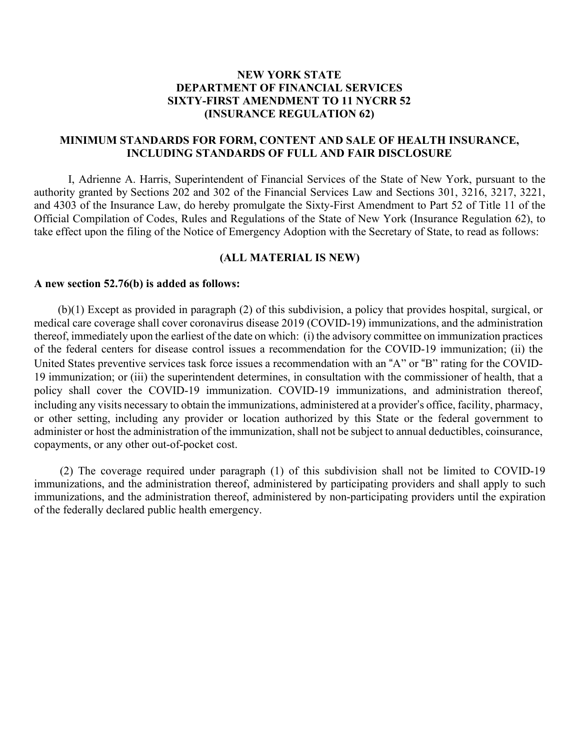## **NEW YORK STATE DEPARTMENT OF FINANCIAL SERVICES SIXTY-FIRST AMENDMENT TO 11 NYCRR 52 (INSURANCE REGULATION 62)**

### **MINIMUM STANDARDS FOR FORM, CONTENT AND SALE OF HEALTH INSURANCE, INCLUDING STANDARDS OF FULL AND FAIR DISCLOSURE**

 I, Adrienne A. Harris, Superintendent of Financial Services of the State of New York, pursuant to the authority granted by Sections 202 and 302 of the Financial Services Law and Sections 301, 3216, 3217, 3221, and 4303 of the Insurance Law, do hereby promulgate the Sixty-First Amendment to Part 52 of Title 11 of the Official Compilation of Codes, Rules and Regulations of the State of New York (Insurance Regulation 62), to take effect upon the filing of the Notice of Emergency Adoption with the Secretary of State, to read as follows:

#### **(ALL MATERIAL IS NEW)**

#### **A new section 52.76(b) is added as follows:**

 medical care coverage shall cover coronavirus disease 2019 (COVID-19) immunizations, and the administration thereof, immediately upon the earliest of the date on which: (i) the advisory committee on immunization practices of the federal centers for disease control issues a recommendation for the COVID-19 immunization; (ii) the United States preventive services task force issues a recommendation with an "A" or "B" rating for the COVID- 19 immunization; or (iii) the superintendent determines, in consultation with the commissioner of health, that a policy shall cover the COVID-19 immunization. COVID-19 immunizations, and administration thereof, including any visits necessary to obtain the immunizations, administered at a provider's office, facility, pharmacy, or other setting, including any provider or location authorized by this State or the federal government to administer or host the administration of the immunization, shall not be subject to annual deductibles, coinsurance, copayments, or any other out-of-pocket cost. (b)(1) Except as provided in paragraph (2) of this subdivision, a policy that provides hospital, surgical, or

 immunizations, and the administration thereof, administered by participating providers and shall apply to such immunizations, and the administration thereof, administered by non-participating providers until the expiration of the federally declared public health emergency. (2) The coverage required under paragraph (1) of this subdivision shall not be limited to COVID-19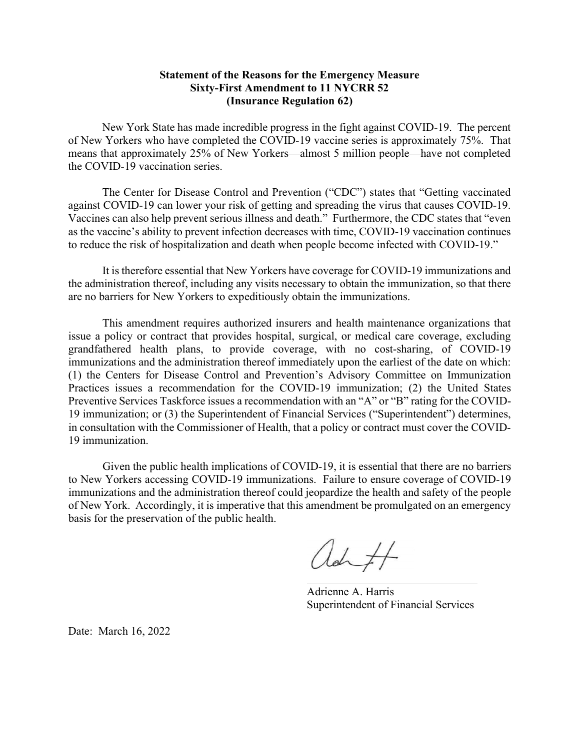## Statement of the Reasons for the Emergency Measure Sixty-First Amendment to 11 NYCRR 52 (Insurance Regulation 62)

 of New Yorkers who have completed the COVID-19 vaccine series is approximately 75%. That means that approximately 25% of New Yorkers—almost 5 million people—have not completed the COVID-19 vaccination series. New York State has made incredible progress in the fight against COVID-19. The percent

 against COVID-19 can lower your risk of getting and spreading the virus that causes COVID-19. Vaccines can also help prevent serious illness and death." Furthermore, the CDC states that "even as the vaccine's ability to prevent infection decreases with time, COVID-19 vaccination continues to reduce the risk of hospitalization and death when people become infected with COVID-19." The Center for Disease Control and Prevention ("CDC") states that "Getting vaccinated

 the administration thereof, including any visits necessary to obtain the immunization, so that there are no barriers for New Yorkers to expeditiously obtain the immunizations. It is therefore essential that New Yorkers have coverage for COVID-19 immunizations and

 issue a policy or contract that provides hospital, surgical, or medical care coverage, excluding grandfathered health plans, to provide coverage, with no cost-sharing, of COVID-19 immunizations and the administration thereof immediately upon the earliest of the date on which: (1) the Centers for Disease Control and Prevention's Advisory Committee on Immunization Practices issues a recommendation for the COVID-19 immunization; (2) the United States Preventive Services Taskforce issues a recommendation with an "A" or "B" rating for the COVID- 19 immunization; or (3) the Superintendent of Financial Services ("Superintendent") determines, in consultation with the Commissioner of Health, that a policy or contract must cover the COVID-This amendment requires authorized insurers and health maintenance organizations that 19 immunization.

 Given the public health implications of COVID-19, it is essential that there are no barriers to New Yorkers accessing COVID-19 immunizations. Failure to ensure coverage of COVID-19 immunizations and the administration thereof could jeopardize the health and safety of the people of New York. Accordingly, it is imperative that this amendment be promulgated on an emergency basis for the preservation of the public health.

ad ft

 Adrienne A. Harris Superintendent of Financial Services

Date: March 16, 2022